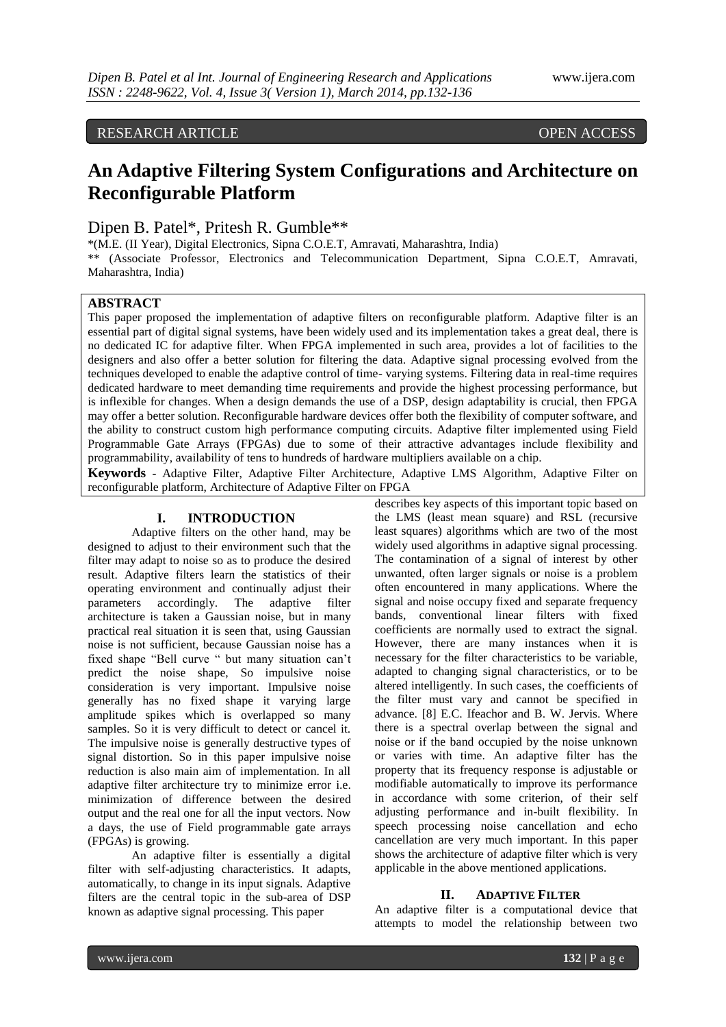# RESEARCH ARTICLE OPEN ACCESS

# **An Adaptive Filtering System Configurations and Architecture on Reconfigurable Platform**

# Dipen B. Patel\*, Pritesh R. Gumble\*\*

\*(M.E. (II Year), Digital Electronics, Sipna C.O.E.T, Amravati, Maharashtra, India) \*\* (Associate Professor, Electronics and Telecommunication Department, Sipna C.O.E.T, Amravati, Maharashtra, India)

# **ABSTRACT**

This paper proposed the implementation of adaptive filters on reconfigurable platform. Adaptive filter is an essential part of digital signal systems, have been widely used and its implementation takes a great deal, there is no dedicated IC for adaptive filter. When FPGA implemented in such area, provides a lot of facilities to the designers and also offer a better solution for filtering the data. Adaptive signal processing evolved from the techniques developed to enable the adaptive control of time- varying systems. Filtering data in real-time requires dedicated hardware to meet demanding time requirements and provide the highest processing performance, but is inflexible for changes. When a design demands the use of a DSP, design adaptability is crucial, then FPGA may offer a better solution. Reconfigurable hardware devices offer both the flexibility of computer software, and the ability to construct custom high performance computing circuits. Adaptive filter implemented using Field Programmable Gate Arrays (FPGAs) due to some of their attractive advantages include flexibility and programmability, availability of tens to hundreds of hardware multipliers available on a chip.

**Keywords -** Adaptive Filter, Adaptive Filter Architecture, Adaptive LMS Algorithm, Adaptive Filter on reconfigurable platform, Architecture of Adaptive Filter on FPGA

# **I. INTRODUCTION**

Adaptive filters on the other hand, may be designed to adjust to their environment such that the filter may adapt to noise so as to produce the desired result. Adaptive filters learn the statistics of their operating environment and continually adjust their parameters accordingly. The adaptive filter architecture is taken a Gaussian noise, but in many practical real situation it is seen that, using Gaussian noise is not sufficient, because Gaussian noise has a fixed shape "Bell curve " but many situation can't predict the noise shape, So impulsive noise consideration is very important. Impulsive noise generally has no fixed shape it varying large amplitude spikes which is overlapped so many samples. So it is very difficult to detect or cancel it. The impulsive noise is generally destructive types of signal distortion. So in this paper impulsive noise reduction is also main aim of implementation. In all adaptive filter architecture try to minimize error i.e. minimization of difference between the desired output and the real one for all the input vectors. Now a days, the use of Field programmable gate arrays (FPGAs) is growing.

An adaptive filter is essentially a digital filter with self-adjusting characteristics. It adapts, automatically, to change in its input signals. Adaptive filters are the central topic in the sub-area of DSP known as adaptive signal processing. This paper

describes key aspects of this important topic based on the LMS (least mean square) and RSL (recursive least squares) algorithms which are two of the most widely used algorithms in adaptive signal processing. The contamination of a signal of interest by other unwanted, often larger signals or noise is a problem often encountered in many applications. Where the signal and noise occupy fixed and separate frequency bands, conventional linear filters with fixed coefficients are normally used to extract the signal. However, there are many instances when it is necessary for the filter characteristics to be variable, adapted to changing signal characteristics, or to be altered intelligently. In such cases, the coefficients of the filter must vary and cannot be specified in advance. [8] E.C. Ifeachor and B. W. Jervis. Where there is a spectral overlap between the signal and noise or if the band occupied by the noise unknown or varies with time. An adaptive filter has the property that its frequency response is adjustable or modifiable automatically to improve its performance in accordance with some criterion, of their self adjusting performance and in-built flexibility. In speech processing noise cancellation and echo cancellation are very much important. In this paper shows the architecture of adaptive filter which is very applicable in the above mentioned applications.

#### **II. ADAPTIVE FILTER**

An adaptive filter is a computational device that attempts to model the relationship between two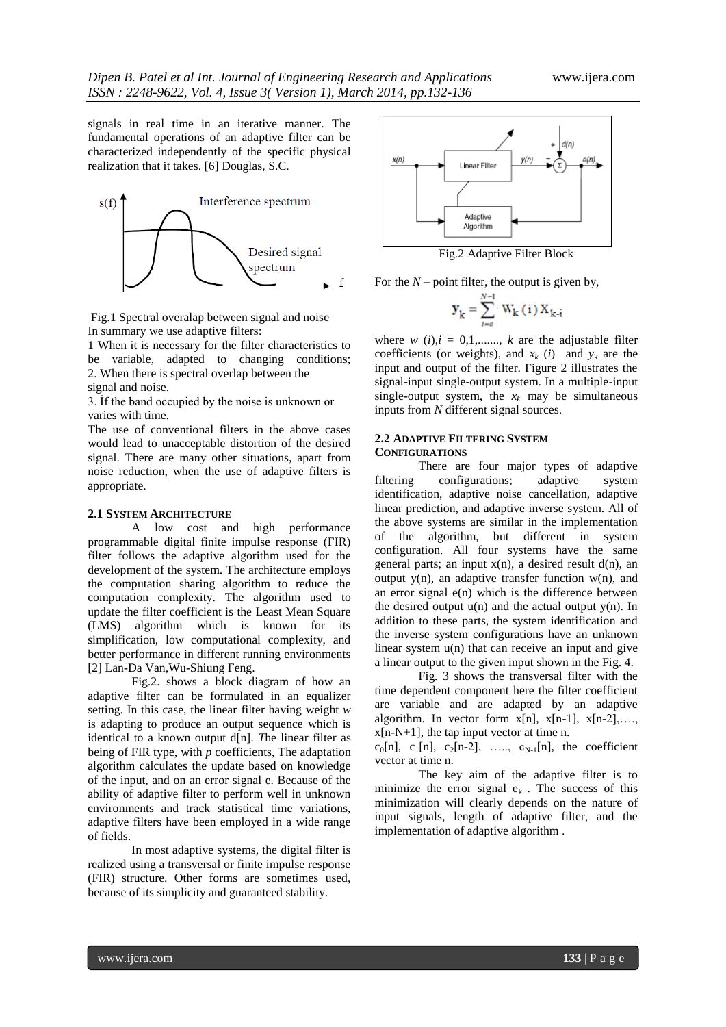signals in real time in an iterative manner. The fundamental operations of an adaptive filter can be characterized independently of the specific physical realization that it takes. [6] Douglas, S.C.



Fig.1 Spectral overalap between signal and noise In summary we use adaptive filters:

1 When it is necessary for the filter characteristics to be variable, adapted to changing conditions; 2. When there is spectral overlap between the signal and noise.

3. İf the band occupied by the noise is unknown or varies with time.

The use of conventional filters in the above cases would lead to unacceptable distortion of the desired signal. There are many other situations, apart from noise reduction, when the use of adaptive filters is appropriate.

# **2.1 SYSTEM ARCHITECTURE**

A low cost and high performance programmable digital finite impulse response (FIR) filter follows the adaptive algorithm used for the development of the system. The architecture employs the computation sharing algorithm to reduce the computation complexity. The algorithm used to update the filter coefficient is the Least Mean Square (LMS) algorithm which is known for its simplification, low computational complexity, and better performance in different running environments [2] Lan-Da Van*,*Wu-Shiung Feng.

Fig.2. shows a block diagram of how an adaptive filter can be formulated in an equalizer setting. In this case, the linear filter having weight *w*  is adapting to produce an output sequence which is identical to a known output d[n]. *T*he linear filter as being of FIR type, with *p* coefficients, The adaptation algorithm calculates the update based on knowledge of the input, and on an error signal e. Because of the ability of adaptive filter to perform well in unknown environments and track statistical time variations, adaptive filters have been employed in a wide range of fields.

In most adaptive systems, the digital filter is realized using a transversal or finite impulse response (FIR) structure. Other forms are sometimes used, because of its simplicity and guaranteed stability.



Fig.2 Adaptive Filter Block

For the *N –* point filter, the output is given by,

$$
\mathbf{y}_{k} = \sum_{i=0}^{N-1} W_{k}(i) X_{k-i}
$$

where  $w$  (*i*), $i = 0,1,...,k$  are the adjustable filter coefficients (or weights), and  $x_k$  (*i*) and  $y_k$  are the input and output of the filter. Figure 2 illustrates the signal-input single-output system. In a multiple-input single-output system, the  $x_k$  may be simultaneous inputs from *N* different signal sources.

## **2.2 ADAPTIVE FILTERING SYSTEM CONFIGURATIONS**

There are four major types of adaptive filtering configurations; adaptive system identification, adaptive noise cancellation, adaptive linear prediction, and adaptive inverse system. All of the above systems are similar in the implementation of the algorithm, but different in system configuration. All four systems have the same general parts; an input  $x(n)$ , a desired result  $d(n)$ , an output  $y(n)$ , an adaptive transfer function  $w(n)$ , and an error signal  $e(n)$  which is the difference between the desired output  $u(n)$  and the actual output  $y(n)$ . In addition to these parts, the system identification and the inverse system configurations have an unknown linear system u(n) that can receive an input and give a linear output to the given input shown in the Fig. 4.

Fig. 3 shows the transversal filter with the time dependent component here the filter coefficient are variable and are adapted by an adaptive algorithm. In vector form  $x[n]$ ,  $x[n-1]$ ,  $x[n-2]$ , ...  $x[n-N+1]$ , the tap input vector at time n.

 $c_0[n], c_1[n], c_2[n-2], \ldots, c_{N-1}[n],$  the coefficient vector at time n.

The key aim of the adaptive filter is to minimize the error signal  $e_k$ . The success of this minimization will clearly depends on the nature of input signals, length of adaptive filter, and the implementation of adaptive algorithm .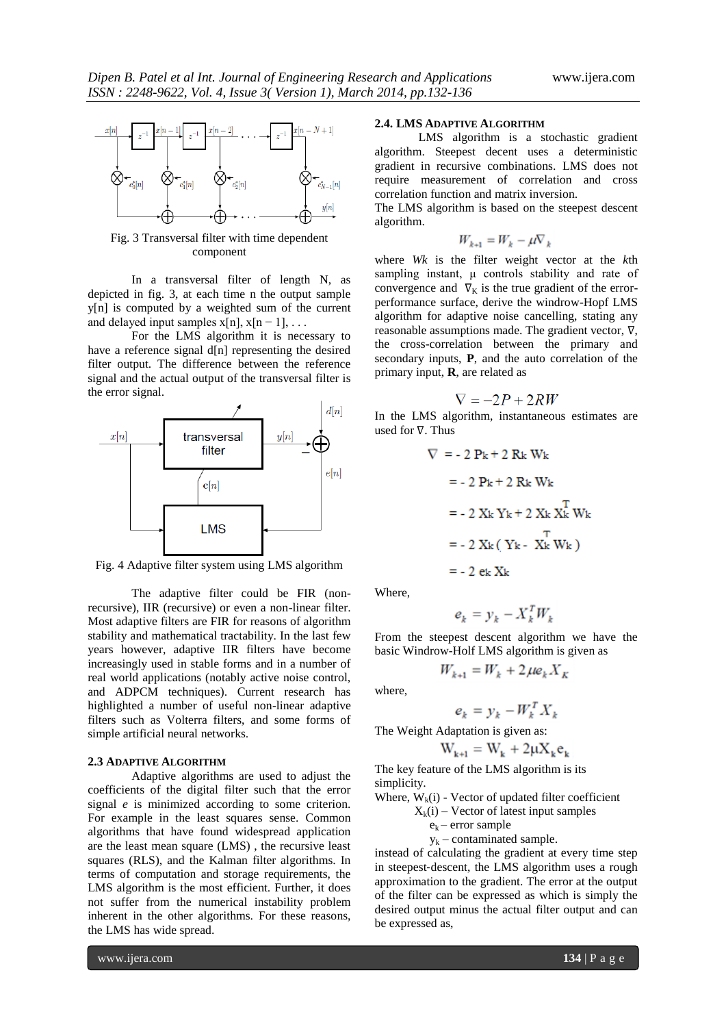

Fig. 3 Transversal filter with time dependent component

In a transversal filter of length N, as depicted in fig. 3, at each time n the output sample y[n] is computed by a weighted sum of the current and delayed input samples  $x[n], x[n-1], \ldots$ 

For the LMS algorithm it is necessary to have a reference signal d[n] representing the desired filter output. The difference between the reference signal and the actual output of the transversal filter is the error signal.



Fig. 4 Adaptive filter system using LMS algorithm

The adaptive filter could be FIR (nonrecursive), IIR (recursive) or even a non-linear filter. Most adaptive filters are FIR for reasons of algorithm stability and mathematical tractability. In the last few years however, adaptive IIR filters have become increasingly used in stable forms and in a number of real world applications (notably active noise control, and ADPCM techniques). Current research has highlighted a number of useful non-linear adaptive filters such as Volterra filters, and some forms of simple artificial neural networks.

#### **2.3 ADAPTIVE ALGORITHM**

Adaptive algorithms are used to adjust the coefficients of the digital filter such that the error signal *e* is minimized according to some criterion. For example in the least squares sense. Common algorithms that have found widespread application are the least mean square (LMS) , the recursive least squares (RLS), and the Kalman filter algorithms. In terms of computation and storage requirements, the LMS algorithm is the most efficient. Further, it does not suffer from the numerical instability problem inherent in the other algorithms. For these reasons, the LMS has wide spread.

# **2.4. LMS ADAPTIVE ALGORITHM**

LMS algorithm is a stochastic gradient algorithm. Steepest decent uses a deterministic gradient in recursive combinations. LMS does not require measurement of correlation and cross correlation function and matrix inversion.

The LMS algorithm is based on the steepest descent algorithm.

$$
W_{k+1} = W_k - \mu \nabla_k
$$

where *Wk* is the filter weight vector at the *k*th sampling instant, μ controls stability and rate of convergence and  $\nabla_K$  is the true gradient of the errorperformance surface, derive the windrow-Hopf LMS algorithm for adaptive noise cancelling, stating any reasonable assumptions made. The gradient vector, ∇, the cross-correlation between the primary and secondary inputs, **P**, and the auto correlation of the primary input, **R**, are related as

$$
\nabla = -2P + 2RW
$$

In the LMS algorithm, instantaneous estimates are used for ∇. Thus

$$
\nabla = -2 \text{ Pk} + 2 \text{ Rk} \text{ Wk}
$$

$$
= -2 \text{ Pk} + 2 \text{ Rk} \text{ Wk}
$$

$$
= -2 \text{ Xk} \text{ Yk} + 2 \text{ Xk} \text{ Xk}^{\text{T}}
$$

$$
= -2 \text{ Xk} (\text{ Yk} - \text{ Xk}^{\text{T}} \text{ Wk})
$$

$$
= -2 \text{ ek} \text{ Xk}
$$

Where,

$$
e_k = y_k - X_k^T W_k
$$

From the steepest descent algorithm we have the basic Windrow-Holf LMS algorithm is given as

$$
W_{k+1} = W_k + 2\mu e_k X_k
$$

where,

$$
e_k = y_k - W_k^T X_k
$$

The Weight Adaptation is given as:

$$
W_{k+1} = W_k + 2\mu X_k e_k
$$

The key feature of the LMS algorithm is its simplicity.

- Where,  $W_k(i)$  Vector of updated filter coefficient
	- $X_k(i)$  Vector of latest input samples
		- $e_k$  error sample
		- $y_k$  contaminated sample.

instead of calculating the gradient at every time step in steepest‐descent, the LMS algorithm uses a rough approximation to the gradient. The error at the output of the filter can be expressed as which is simply the desired output minus the actual filter output and can be expressed as,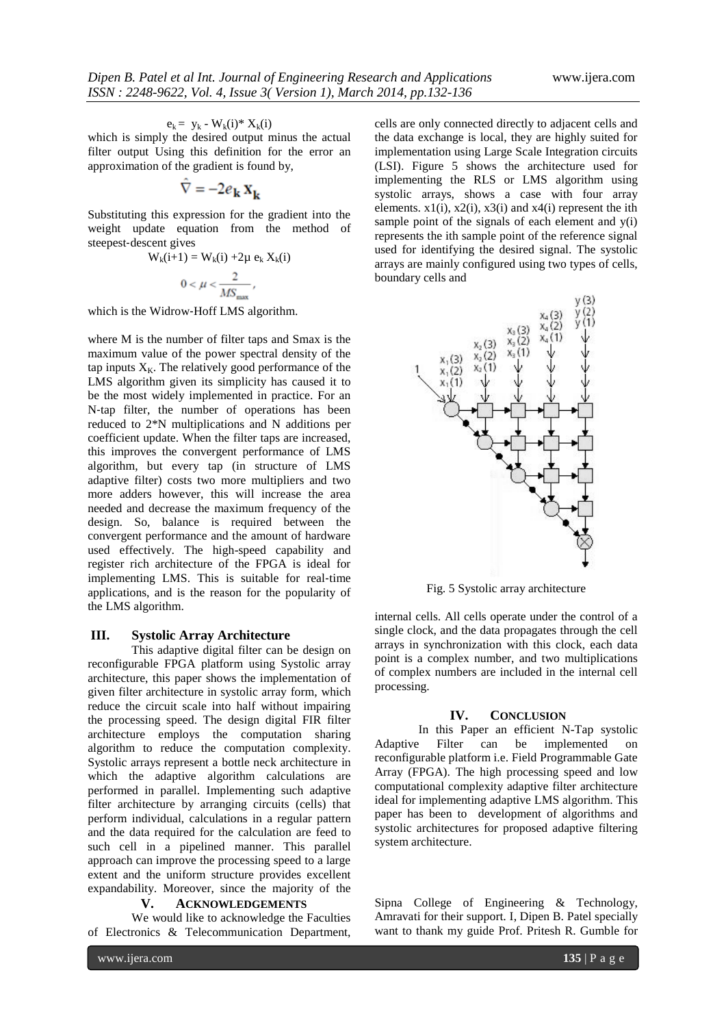$$
e_k = y_k - W_k(i)^* X_k(i)
$$

which is simply the desired output minus the actual filter output Using this definition for the error an approximation of the gradient is found by,

$$
\hat{\nabla} = -2e_{\mathbf{k}}\mathbf{X}_{\mathbf{k}}
$$

Substituting this expression for the gradient into the weight update equation from the method of steepest‐descent gives

$$
W_k(i+1) = W_k(i) + 2\mu e_k X_k(i)
$$

$$
0 < \mu < \frac{2}{MS_{\text{max}}},
$$

which is the Widrow‐Hoff LMS algorithm.

where M is the number of filter taps and Smax is the maximum value of the power spectral density of the tap inputs  $X_K$ . The relatively good performance of the LMS algorithm given its simplicity has caused it to be the most widely implemented in practice. For an N-tap filter, the number of operations has been reduced to 2\*N multiplications and N additions per coefficient update. When the filter taps are increased, this improves the convergent performance of LMS algorithm, but every tap (in structure of LMS adaptive filter) costs two more multipliers and two more adders however, this will increase the area needed and decrease the maximum frequency of the design. So, balance is required between the convergent performance and the amount of hardware used effectively. The high-speed capability and register rich architecture of the FPGA is ideal for implementing LMS. This is suitable for real-time applications, and is the reason for the popularity of the LMS algorithm.

# **III. Systolic Array Architecture**

This adaptive digital filter can be design on reconfigurable FPGA platform using Systolic array architecture, this paper shows the implementation of given filter architecture in systolic array form, which reduce the circuit scale into half without impairing the processing speed. The design digital FIR filter architecture employs the computation sharing algorithm to reduce the computation complexity. Systolic arrays represent a bottle neck architecture in which the adaptive algorithm calculations are performed in parallel. Implementing such adaptive filter architecture by arranging circuits (cells) that perform individual, calculations in a regular pattern and the data required for the calculation are feed to such cell in a pipelined manner. This parallel approach can improve the processing speed to a large extent and the uniform structure provides excellent expandability. Moreover, since the majority of the

## **V. ACKNOWLEDGEMENTS**

We would like to acknowledge the Faculties of Electronics & Telecommunication Department, cells are only connected directly to adjacent cells and the data exchange is local, they are highly suited for implementation using Large Scale Integration circuits (LSI). Figure 5 shows the architecture used for implementing the RLS or LMS algorithm using systolic arrays, shows a case with four array elements.  $x1(i)$ ,  $x2(i)$ ,  $x3(i)$  and  $x4(i)$  represent the ith sample point of the signals of each element and  $y(i)$ represents the ith sample point of the reference signal used for identifying the desired signal. The systolic arrays are mainly configured using two types of cells, boundary cells and



Fig. 5 Systolic array architecture

internal cells. All cells operate under the control of a single clock, and the data propagates through the cell arrays in synchronization with this clock, each data point is a complex number, and two multiplications of complex numbers are included in the internal cell processing.

## **IV. CONCLUSION**

In this Paper an efficient N-Tap systolic Adaptive Filter can be implemented on reconfigurable platform i.e. Field Programmable Gate Array (FPGA). The high processing speed and low computational complexity adaptive filter architecture ideal for implementing adaptive LMS algorithm. This paper has been to development of algorithms and systolic architectures for proposed adaptive filtering system architecture.

Sipna College of Engineering & Technology, Amravati for their support. I, Dipen B. Patel specially want to thank my guide Prof. Pritesh R. Gumble for